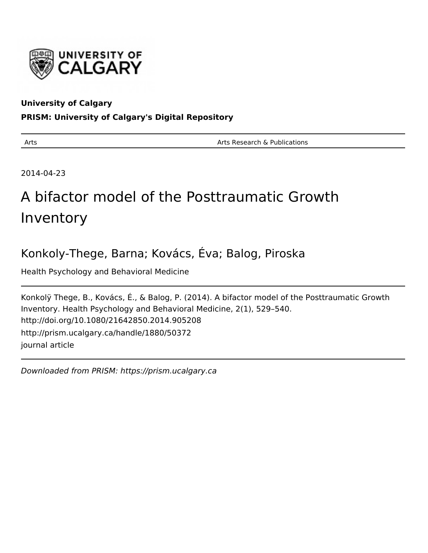

## **University of Calgary**

**PRISM: University of Calgary's Digital Repository**

Arts **Arts Arts Arts Research & Publications** 

2014-04-23

# A bifactor model of the Posttraumatic Growth Inventory

## Konkoly-Thege, Barna; Kovács, Éva; Balog, Piroska

Health Psychology and Behavioral Medicine

Konkolÿ Thege, B., Kovács, É., & Balog, P. (2014). A bifactor model of the Posttraumatic Growth Inventory. Health Psychology and Behavioral Medicine, 2(1), 529–540. http://doi.org/10.1080/21642850.2014.905208 http://prism.ucalgary.ca/handle/1880/50372 journal article

Downloaded from PRISM: https://prism.ucalgary.ca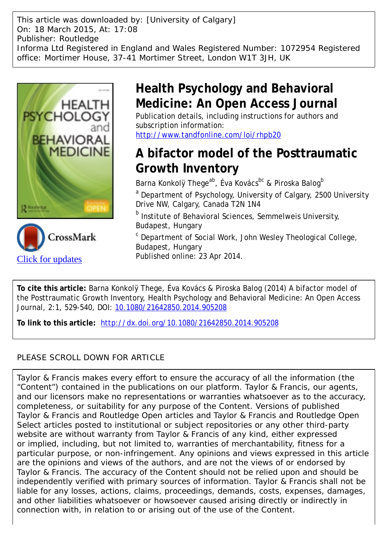This article was downloaded by: [University of Calgary] On: 18 March 2015, At: 17:08 Publisher: Routledge Informa Ltd Registered in England and Wales Registered Number: 1072954 Registered office: Mortimer House, 37-41 Mortimer Street, London W1T 3JH, UK

subscription information:

**Growth Inventory**

<http://www.tandfonline.com/loi/rhpb20>



[Click for updates](http://crossmark.crossref.org/dialog/?doi=10.1080/21642850.2014.905208&domain=pdf&date_stamp=2014-04-23)



**Health Psychology and Behavioral Medicine: An Open Access Journal** Publication details, including instructions for authors and

**A bifactor model of the Posttraumatic**

**To cite this article:** Barna Konkolÿ Thege, Éva Kovács & Piroska Balog (2014) A bifactor model of the Posttraumatic Growth Inventory, Health Psychology and Behavioral Medicine: An Open Access Journal, 2:1, 529-540, DOI: [10.1080/21642850.2014.905208](http://www.tandfonline.com/action/showCitFormats?doi=10.1080/21642850.2014.905208)

**To link to this article:** <http://dx.doi.org/10.1080/21642850.2014.905208>

### PLEASE SCROLL DOWN FOR ARTICLE

Taylor & Francis makes every effort to ensure the accuracy of all the information (the "Content") contained in the publications on our platform. Taylor & Francis, our agents, and our licensors make no representations or warranties whatsoever as to the accuracy, completeness, or suitability for any purpose of the Content. Versions of published Taylor & Francis and Routledge Open articles and Taylor & Francis and Routledge Open Select articles posted to institutional or subject repositories or any other third-party website are without warranty from Taylor & Francis of any kind, either expressed or implied, including, but not limited to, warranties of merchantability, fitness for a particular purpose, or non-infringement. Any opinions and views expressed in this article are the opinions and views of the authors, and are not the views of or endorsed by Taylor & Francis. The accuracy of the Content should not be relied upon and should be independently verified with primary sources of information. Taylor & Francis shall not be liable for any losses, actions, claims, proceedings, demands, costs, expenses, damages, and other liabilities whatsoever or howsoever caused arising directly or indirectly in connection with, in relation to or arising out of the use of the Content.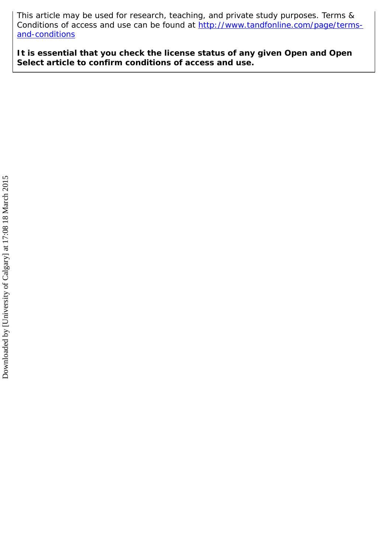This article may be used for research, teaching, and private study purposes. Terms & Conditions of access and use can be found at [http://www.tandfonline.com/page/terms](http://www.tandfonline.com/page/terms-and-conditions)[and-conditions](http://www.tandfonline.com/page/terms-and-conditions)

**It is essential that you check the license status of any given Open and Open Select article to confirm conditions of access and use.**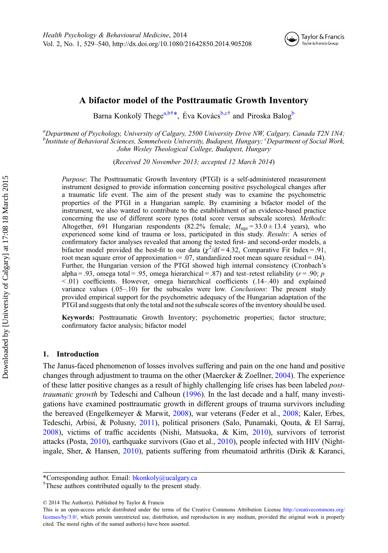

#### A bifactor model of the Posttraumatic Growth Inventory

Barna Konkolÿ Thege<sup>a,b†\*</sup>, Éva Kovács<sup>b,c†</sup> and Piroska Balog<sup>b</sup>

<sup>a</sup>Department of Psychology, University of Calgary, 2500 University Drive NW, Calgary, Canada T2N 1N4; <sup>b</sup>Institute of Behavioral Sciences, Semmelweis University, Budapest, Hungary; <sup>c</sup>Department of Social Work, John Wesley Theological College, Budapest, Hungary

(Received 20 November 2013; accepted 12 March 2014)

Purpose: The Posttraumatic Growth Inventory (PTGI) is a self-administered measurement instrument designed to provide information concerning positive psychological changes after a traumatic life event. The aim of the present study was to examine the psychometric properties of the PTGI in a Hungarian sample. By examining a bifactor model of the instrument, we also wanted to contribute to the establishment of an evidence-based practice concerning the use of different score types (total score versus subscale scores). Methods: Altogether, 691 Hungarian respondents (82.2% female;  $M_{\text{age}} = 33.0 \pm 13.4$  years), who experienced some kind of trauma or loss, participated in this study. Results: A series of confirmatory factor analyses revealed that among the tested first- and second-order models, a bifactor model provided the best-fit to our data  $(\chi^2/df = 4.32$ , Comparative Fit Index = .91, root mean square error of approximation  $= .07$ , standardized root mean square residual  $= .04$ ). Further, the Hungarian version of the PTGI showed high internal consistency (Cronbach's alpha = .93, omega total = .95, omega hierarchical = .87) and test–retest reliability ( $r = .90$ ; p < .01) coefficients. However, omega hierarchical coefficients (.14–.40) and explained variance values  $(.05-.10)$  for the subscales were low. *Conclusions*: The present study provided empirical support for the psychometric adequacy of the Hungarian adaptation of the PTGI and suggests that only the total and not the subscale scores of the inventory should be used.

Keywords: Posttraumatic Growth Inventory; psychometric properties; factor structure; confirmatory factor analysis; bifactor model

#### 1. Introduction

The Janus-faced phenomenon of losses involves suffering and pain on the one hand and positive changes through adjustment to trauma on the other (Maercker  $&$  Zoellner, [2004\)](#page-13-0). The experience of these latter positive changes as a result of highly challenging life crises has been labeled posttraumatic growth by Tedeschi and Calhoun ([1996\)](#page-14-0). In the last decade and a half, many investigations have examined posttraumatic growth in different groups of trauma survivors including the bereaved (Engelkemeyer & Marwit, [2008\)](#page-12-0), war veterans (Feder et al., [2008;](#page-12-0) Kaler, Erbes, Tedeschi, Arbisi, & Polusny, [2011](#page-12-0)), political prisoners (Salo, Punamaki, Qouta, & El Sarraj, [2008\)](#page-13-0), victims of traffic accidents (Nishi, Matsuoka, & Kim, [2010](#page-13-0)), survivors of terrorist attacks (Posta, [2010\)](#page-13-0), earthquake survivors (Gao et al., [2010](#page-12-0)), people infected with HIV (Night-ingale, Sher, & Hansen, [2010](#page-13-0)), patients suffering from rheumatoid arthritis (Dirik & Karanci,

© 2014 The Author(s). Published by Taylor & Francis

<sup>\*</sup>Corresponding author. Email:  $bkonkoly@ucalgary.ca$ 

<sup>&</sup>lt;sup>†</sup>These authors contributed equally to the present study.

This is an open-access article distributed under the terms of the Creative Commons Attribution License [http://creativecommons.org/](http://creativecommons.org/licenses/by/3.0/) licenses/by/3.0/, [which permits unrestricted use, distribution, and reproduction in any medium, provided the original work is properly](http://creativecommons.org/licenses/by/3.0/) [cited. The moral rights of the named author\(s\) have been asserted.](http://creativecommons.org/licenses/by/3.0/)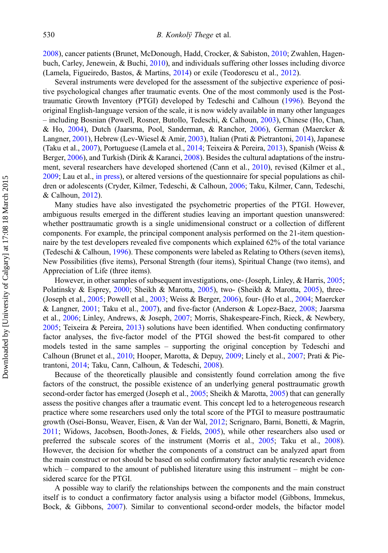[2008\)](#page-12-0), cancer patients (Brunet, McDonough, Hadd, Crocker, & Sabiston, [2010](#page-12-0); Zwahlen, Hagenbuch, Carley, Jenewein, & Buchi, [2010](#page-14-0)), and individuals suffering other losses including divorce (Lamela, Figueiredo, Bastos, & Martins, [2014](#page-13-0)) or exile (Teodorescu et al., [2012](#page-14-0)).

Several instruments were developed for the assessment of the subjective experience of positive psychological changes after traumatic events. One of the most commonly used is the Posttraumatic Growth Inventory (PTGI) developed by Tedeschi and Calhoun ([1996\)](#page-14-0). Beyond the original English-language version of the scale, it is now widely available in many other languages – including Bosnian (Powell, Rosner, Butollo, Tedeschi, & Calhoun, [2003](#page-13-0)), Chinese (Ho, Chan, & Ho, [2004](#page-12-0)), Dutch (Jaarsma, Pool, Sanderman, & Ranchor, [2006](#page-12-0)), German (Maercker & Langner, [2001\)](#page-13-0), Hebrew (Lev-Wiesel & Amir, [2003](#page-13-0)), Italian (Prati & Pietrantoni, [2014\)](#page-13-0), Japanese (Taku et al., [2007\)](#page-13-0), Portuguese (Lamela et al., [2014;](#page-13-0) Teixeira & Pereira, [2013\)](#page-14-0), Spanish (Weiss & Berger, [2006\)](#page-14-0), and Turkish (Dirik & Karanci, [2008](#page-12-0)). Besides the cultural adaptations of the instrument, several researchers have developed shortened (Cann et al., [2010\)](#page-12-0), revised (Kilmer et al., [2009;](#page-12-0) Lau et al., [in press](#page-13-0)), or altered versions of the questionnaire for special populations as children or adolescents (Cryder, Kilmer, Tedeschi, & Calhoun, [2006;](#page-12-0) Taku, Kilmer, Cann, Tedeschi, & Calhoun, [2012\)](#page-14-0).

Many studies have also investigated the psychometric properties of the PTGI. However, ambiguous results emerged in the different studies leaving an important question unanswered: whether posttraumatic growth is a single unidimensional construct or a collection of different components. For example, the principal component analysis performed on the 21-item questionnaire by the test developers revealed five components which explained 62% of the total variance (Tedeschi & Calhoun, [1996](#page-14-0)). These components were labeled as Relating to Others (seven items), New Possibilities (five items), Personal Strength (four items), Spiritual Change (two items), and Appreciation of Life (three items).

However, in other samples of subsequent investigations, one- (Joseph, Linley, & Harris, [2005;](#page-12-0) Polatinsky & Esprey, [2000;](#page-13-0) Sheikh & Marotta, [2005](#page-13-0)), two- (Sheikh & Marotta, [2005](#page-13-0)), three- (Joseph et al., [2005;](#page-12-0) Powell et al., [2003;](#page-13-0) Weiss & Berger, [2006](#page-14-0)), four- (Ho et al., [2004;](#page-12-0) Maercker & Langner, [2001](#page-13-0); Taku et al., [2007](#page-13-0)), and five-factor (Anderson & Lopez-Baez, [2008;](#page-12-0) Jaarsma et al., [2006;](#page-12-0) Linley, Andrews, & Joseph, [2007;](#page-13-0) Morris, Shakespeare-Finch, Rieck, & Newbery, [2005;](#page-13-0) Teixeira & Pereira, [2013](#page-14-0)) solutions have been identified. When conducting confirmatory factor analyses, the five-factor model of the PTGI showed the best-fit compared to other models tested in the same samples – supporting the original conception by Tedeschi and Calhoun (Brunet et al., [2010;](#page-12-0) Hooper, Marotta, & Depuy, [2009;](#page-12-0) Linely et al., [2007;](#page-13-0) Prati & Pietrantoni, [2014;](#page-13-0) Taku, Cann, Calhoun, & Tedeschi, [2008](#page-14-0)).

Because of the theoretically plausible and consistently found correlation among the five factors of the construct, the possible existence of an underlying general posttraumatic growth second-order factor has emerged (Joseph et al., [2005](#page-12-0); Sheikh & Marotta, [2005](#page-13-0)) that can generally assess the positive changes after a traumatic event. This concept led to a heterogeneous research practice where some researchers used only the total score of the PTGI to measure posttraumatic growth (Osei-Bonsu, Weaver, Eisen, & Van der Wal, [2012;](#page-13-0) Scrignaro, Barni, Bonetti, & Magrin, [2011](#page-13-0); Widows, Jacobsen, Booth-Jones, & Fields, [2005\)](#page-14-0), while other researchers also used or preferred the subscale scores of the instrument (Morris et al., [2005;](#page-13-0) Taku et al., [2008\)](#page-14-0). However, the decision for whether the components of a construct can be analyzed apart from the main construct or not should be based on solid confirmatory factor analytic research evidence which – compared to the amount of published literature using this instrument – might be considered scarce for the PTGI.

A possible way to clarify the relationships between the components and the main construct itself is to conduct a confirmatory factor analysis using a bifactor model (Gibbons, Immekus, Bock, & Gibbons, [2007](#page-12-0)). Similar to conventional second-order models, the bifactor model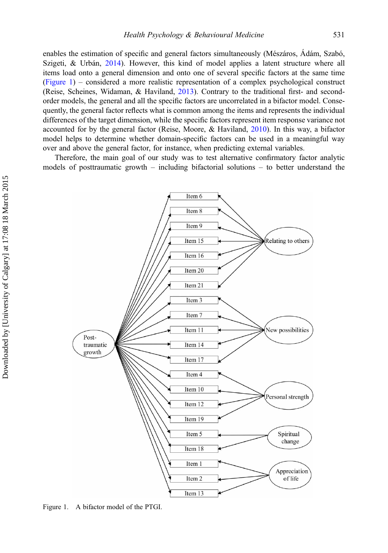<span id="page-5-0"></span>enables the estimation of specific and general factors simultaneously (Mészáros, Ádám, Szabó, Szigeti, & Urbán, [2014\)](#page-13-0). However, this kind of model applies a latent structure where all items load onto a general dimension and onto one of several specific factors at the same time (Figure 1) – considered a more realistic representation of a complex psychological construct (Reise, Scheines, Widaman, & Haviland, [2013\)](#page-13-0). Contrary to the traditional first- and secondorder models, the general and all the specific factors are uncorrelated in a bifactor model. Consequently, the general factor reflects what is common among the items and represents the individual differences of the target dimension, while the specific factors represent item response variance not accounted for by the general factor (Reise, Moore,  $\&$  Haviland, [2010](#page-13-0)). In this way, a bifactor model helps to determine whether domain-specific factors can be used in a meaningful way over and above the general factor, for instance, when predicting external variables.

Therefore, the main goal of our study was to test alternative confirmatory factor analytic models of posttraumatic growth – including bifactorial solutions – to better understand the



Figure 1. A bifactor model of the PTGI.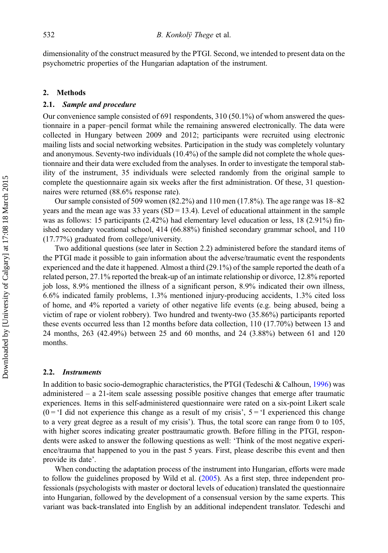dimensionality of the construct measured by the PTGI. Second, we intended to present data on the psychometric properties of the Hungarian adaptation of the instrument.

#### 2. Methods

#### 2.1. Sample and procedure

Our convenience sample consisted of 691 respondents, 310 (50.1%) of whom answered the questionnaire in a paper–pencil format while the remaining answered electronically. The data were collected in Hungary between 2009 and 2012; participants were recruited using electronic mailing lists and social networking websites. Participation in the study was completely voluntary and anonymous. Seventy-two individuals (10.4%) of the sample did not complete the whole questionnaire and their data were excluded from the analyses. In order to investigate the temporal stability of the instrument, 35 individuals were selected randomly from the original sample to complete the questionnaire again six weeks after the first administration. Of these, 31 questionnaires were returned (88.6% response rate).

Our sample consisted of 509 women (82.2%) and 110 men (17.8%). The age range was 18–82 years and the mean age was 33 years ( $SD = 13.4$ ). Level of educational attainment in the sample was as follows: 15 participants (2.42%) had elementary level education or less, 18 (2.91%) finished secondary vocational school, 414 (66.88%) finished secondary grammar school, and 110 (17.77%) graduated from college/university.

Two additional questions (see later in Section 2.2) administered before the standard items of the PTGI made it possible to gain information about the adverse/traumatic event the respondents experienced and the date it happened. Almost a third (29.1%) of the sample reported the death of a related person, 27.1% reported the break-up of an intimate relationship or divorce, 12.8% reported job loss, 8.9% mentioned the illness of a significant person, 8.9% indicated their own illness, 6.6% indicated family problems, 1.3% mentioned injury-producing accidents, 1.3% cited loss of home, and 4% reported a variety of other negative life events (e.g. being abused, being a victim of rape or violent robbery). Two hundred and twenty-two (35.86%) participants reported these events occurred less than 12 months before data collection, 110 (17.70%) between 13 and 24 months, 263 (42.49%) between 25 and 60 months, and 24 (3.88%) between 61 and 120 months.

#### 2.2. Instruments

In addition to basic socio-demographic characteristics, the PTGI (Tedeschi & Calhoun, [1996\)](#page-14-0) was administered  $-$  a 21-item scale assessing possible positive changes that emerge after traumatic experiences. Items in this self-administered questionnaire were rated on a six-point Likert scale  $(0 = 1$  did not experience this change as a result of my crisis',  $5 = 1$  experienced this change to a very great degree as a result of my crisis'). Thus, the total score can range from 0 to 105, with higher scores indicating greater posttraumatic growth. Before filling in the PTGI, respondents were asked to answer the following questions as well: 'Think of the most negative experience/trauma that happened to you in the past 5 years. First, please describe this event and then provide its date'.

When conducting the adaptation process of the instrument into Hungarian, efforts were made to follow the guidelines proposed by Wild et al. [\(2005](#page-14-0)). As a first step, three independent professionals (psychologists with master or doctoral levels of education) translated the questionnaire into Hungarian, followed by the development of a consensual version by the same experts. This variant was back-translated into English by an additional independent translator. Tedeschi and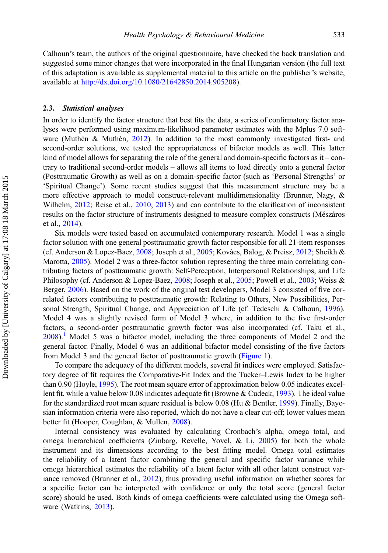Calhoun's team, the authors of the original questionnaire, have checked the back translation and suggested some minor changes that were incorporated in the final Hungarian version (the full text of this adaptation is available as supplemental material to this article on the publisher's website, available at [http://dx.doi.org/10.1080/21642850.2014.905208\)](http://dx.doi.org/10.1080/21642850.2014.905208).

#### 2.3. Statistical analyses

In order to identify the factor structure that best fits the data, a series of confirmatory factor analyses were performed using maximum-likelihood parameter estimates with the Mplus 7.0 software (Muthén & Muthén, [2012\)](#page-13-0). In addition to the most commonly investigated first- and second-order solutions, we tested the appropriateness of bifactor models as well. This latter kind of model allows for separating the role of the general and domain-specific factors as it – contrary to traditional second-order models – allows all items to load directly onto a general factor (Posttraumatic Growth) as well as on a domain-specific factor (such as 'Personal Strengths' or 'Spiritual Change'). Some recent studies suggest that this measurement structure may be a more effective approach to model construct-relevant multidimensionality (Brunner, Nagy, & Wilhelm, [2012;](#page-12-0) Reise et al., [2010](#page-13-0), [2013\)](#page-13-0) and can contribute to the clarification of inconsistent results on the factor structure of instruments designed to measure complex constructs (Mészáros et al., [2014\)](#page-13-0).

Six models were tested based on accumulated contemporary research. Model 1 was a single factor solution with one general posttraumatic growth factor responsible for all 21-item responses (cf. Anderson & Lopez-Baez, [2008](#page-12-0); Joseph et al., [2005](#page-12-0); Kovács, Balog, & Preisz, [2012](#page-13-0); Sheikh & Marotta, [2005](#page-13-0)). Model 2 was a three-factor solution representing the three main correlating contributing factors of posttraumatic growth: Self-Perception, Interpersonal Relationships, and Life Philosophy (cf. Anderson & Lopez-Baez, [2008;](#page-12-0) Joseph et al., [2005;](#page-12-0) Powell et al., [2003;](#page-13-0) Weiss & Berger, [2006](#page-14-0)). Based on the work of the original test developers, Model 3 consisted of five correlated factors contributing to posttraumatic growth: Relating to Others, New Possibilities, Personal Strength, Spiritual Change, and Appreciation of Life (cf. Tedeschi & Calhoun, [1996\)](#page-14-0). Model 4 was a slightly revised form of Model 3 where, in addition to the five first-order factors, a second-order posttraumatic growth factor was also incorporated (cf. Taku et al.,  $2008$ ).<sup>[1](#page-12-0)</sup> Model 5 was a bifactor model, including the three components of Model 2 and the general factor. Finally, Model 6 was an additional bifactor model consisting of the five factors from Model 3 and the general factor of posttraumatic growth ([Figure 1\)](#page-5-0).

To compare the adequacy of the different models, several fit indices were employed. Satisfactory degree of fit requires the Comparative-Fit Index and the Tucker–Lewis Index to be higher than 0.90 (Hoyle, [1995](#page-12-0)). The root mean square error of approximation below 0.05 indicates excellent fit, while a value below 0.08 indicates adequate fit (Browne & Cudeck, [1993\)](#page-12-0). The ideal value for the standardized root mean square residual is below 0.08 (Hu & Bentler, [1999\)](#page-12-0). Finally, Bayesian information criteria were also reported, which do not have a clear cut-off; lower values mean better fit (Hooper, Coughlan, & Mullen, [2008\)](#page-12-0).

Internal consistency was evaluated by calculating Cronbach's alpha, omega total, and omega hierarchical coefficients (Zinbarg, Revelle, Yovel, & Li, [2005](#page-14-0)) for both the whole instrument and its dimensions according to the best fitting model. Omega total estimates the reliability of a latent factor combining the general and specific factor variance while omega hierarchical estimates the reliability of a latent factor with all other latent construct variance removed (Brunner et al., [2012\)](#page-12-0), thus providing useful information on whether scores for a specific factor can be interpreted with confidence or only the total score (general factor score) should be used. Both kinds of omega coefficients were calculated using the Omega software (Watkins, [2013\)](#page-14-0).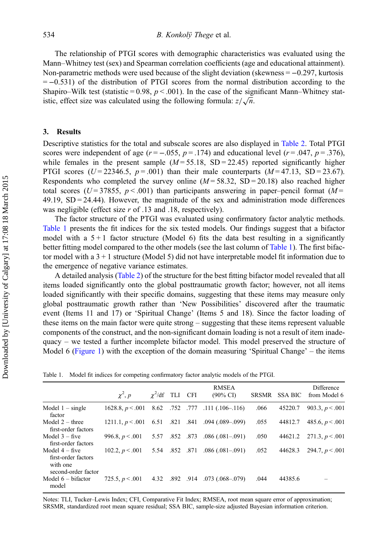The relationship of PTGI scores with demographic characteristics was evaluated using the Mann–Whitney test (sex) and Spearman correlation coefficients (age and educational attainment). Non-parametric methods were used because of the slight deviation (skewness  $= -0.297$ , kurtosis  $= -0.531$ ) of the distribution of PTGI scores from the normal distribution according to the Shapiro–Wilk test (statistic = 0.98,  $p < .001$ ). In the case of the significant Mann–Whitney stat-Shapiro–Wilk test (statistic = 0.98,  $p < .001$ ). In the case of the significial exists in the significant size was calculated using the following formula:  $z/\sqrt{n}$ .

#### 3. Results

Descriptive statistics for the total and subscale scores are also displayed in [Table 2.](#page-9-0) Total PTGI scores were independent of age ( $r = -0.055$ ,  $p = 0.174$ ) and educational level ( $r = 0.047$ ,  $p = 0.376$ ), while females in the present sample  $(M = 55.18, SD = 22.45)$  reported significantly higher PTGI scores ( $U = 22346.5$ ,  $p = .001$ ) than their male counterparts ( $M = 47.13$ , SD = 23.67). Respondents who completed the survey online  $(M = 58.32, SD = 20.18)$  also reached higher total scores ( $U = 37855$ ,  $p < .001$ ) than participants answering in paper–pencil format ( $M =$  $49.19$ ,  $SD = 24.44$ ). However, the magnitude of the sex and administration mode differences was negligible (effect size r of .13 and .18, respectively).

The factor structure of the PTGI was evaluated using confirmatory factor analytic methods. Table 1 presents the fit indices for the six tested models. Our findings suggest that a bifactor model with a  $5+1$  factor structure (Model 6) fits the data best resulting in a significantly better fitting model compared to the other models (see the last column of Table 1). The first bifactor model with a  $3 + 1$  structure (Model 5) did not have interpretable model fit information due to the emergence of negative variance estimates.

A detailed analysis ([Table 2\)](#page-9-0) of the structure for the best fitting bifactor model revealed that all items loaded significantly onto the global posttraumatic growth factor; however, not all items loaded significantly with their specific domains, suggesting that these items may measure only global posttraumatic growth rather than 'New Possibilities' discovered after the traumatic event (Items 11 and 17) or 'Spiritual Change' (Items 5 and 18). Since the factor loading of these items on the main factor were quite strong – suggesting that these items represent valuable components of the construct, and the non-significant domain loading is not a result of item inadequacy – we tested a further incomplete bifactor model. This model preserved the structure of Model 6 ([Figure 1\)](#page-5-0) with the exception of the domain measuring 'Spiritual Change' – the items

|                                                                            | $\chi^2, p$       | $\chi^2$ /df TLI CFI |  | <b>RMSEA</b><br>$(90\% \text{ C}I)$                         |      | SRSMR SSA BIC | Difference<br>from Model 6 |
|----------------------------------------------------------------------------|-------------------|----------------------|--|-------------------------------------------------------------|------|---------------|----------------------------|
| Model $1 - \text{single}$<br>factor                                        |                   |                      |  | $1628.8, p \le 0.01$ $8.62$ $752$ $777$ $111$ $(0.106-116)$ | .066 | 45220.7       | 903.3, $p < .001$          |
| Model $2$ – three<br>first-order factors                                   |                   |                      |  | $1211.1, p \le 0.001$ 6.51 .821 .841 .094 (.089–.099)       | .055 | 44812.7       | 485.6, $p < .001$          |
| Model $3 -$ five<br>first-order factors                                    | 996.8, $p < .001$ | 5.57                 |  | $.852$ $.873$ $.086$ $(.081 - .091)$                        | .050 |               | 44621.2 271.3, $p < .001$  |
| Model $4 - five$<br>first-order factors<br>with one<br>second-order factor | 102.2, $p < .001$ |                      |  | 5.54 .852 .871 .086 (.081-.091)                             | .052 | 44628.3       | 294.7, $p < .001$          |
| Model 6 – bifactor<br>model                                                | 725.5, $p < .001$ | 4.32                 |  | .892 .914 .073 (.068-.079)                                  | .044 | 44385.6       |                            |

Table 1. Model fit indices for competing confirmatory factor analytic models of the PTGI.

Notes: TLI, Tucker–Lewis Index; CFI, Comparative Fit Index; RMSEA, root mean square error of approximation; SRSMR, standardized root mean square residual; SSA BIC, sample-size adjusted Bayesian information criterion.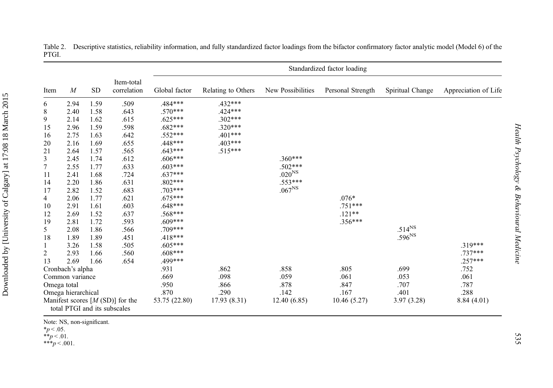|                                                                   |                         |               | Item-total<br>correlation | Standardized factor loading |                    |                    |                   |                    |                      |  |  |
|-------------------------------------------------------------------|-------------------------|---------------|---------------------------|-----------------------------|--------------------|--------------------|-------------------|--------------------|----------------------|--|--|
| Item                                                              | $\boldsymbol{M}$        | <b>SD</b>     |                           | Global factor               | Relating to Others | New Possibilities  | Personal Strength | Spiritual Change   | Appreciation of Life |  |  |
| 6                                                                 | 2.94                    | 1.59          | .509                      | $.484***$                   | $.432***$          |                    |                   |                    |                      |  |  |
| 8                                                                 | 2.40                    | 1.58          | .643                      | $.570***$                   | $.424***$          |                    |                   |                    |                      |  |  |
| 9                                                                 | 2.14                    | 1.62          | .615                      | $.625***$                   | $.302***$          |                    |                   |                    |                      |  |  |
| 15                                                                | 2.96                    | 1.59          | .598                      | $.682***$                   | $.320***$          |                    |                   |                    |                      |  |  |
| 16                                                                | 2.75                    | 1.63          | .642                      | .552***                     | $.401***$          |                    |                   |                    |                      |  |  |
| 20                                                                | 2.16                    | 1.69          | .655                      | $.448***$                   | $.403***$          |                    |                   |                    |                      |  |  |
| 21                                                                | 2.64                    | 1.57          | .565                      | $.643***$                   | $.515***$          |                    |                   |                    |                      |  |  |
| 3                                                                 | 2.45                    | 1.74          | .612                      | $.606***$                   |                    | $.360***$          |                   |                    |                      |  |  |
| 7                                                                 | 2.55                    | 1.77          | .633                      | $.603***$                   |                    | $.502***$          |                   |                    |                      |  |  |
| 11                                                                | 2.41                    | 1.68          | .724                      | $.637***$                   |                    | .020 <sup>NS</sup> |                   |                    |                      |  |  |
| 14                                                                | 2.20                    | 1.86          | .631                      | $.802***$                   |                    | .553***            |                   |                    |                      |  |  |
| 17                                                                | 2.82                    | 1.52          | .683                      | $.703***$                   |                    | .067 <sup>NS</sup> |                   |                    |                      |  |  |
| 4                                                                 | 2.06                    | 1.77          | .621                      | $.675***$                   |                    |                    | $.076*$           |                    |                      |  |  |
| 10                                                                | 2.91                    | 1.61          | .603                      | $.648***$                   |                    |                    | $.751***$         |                    |                      |  |  |
| 12                                                                | 2.69                    | 1.52          | .637                      | $.568***$                   |                    |                    | $.121**$          |                    |                      |  |  |
| 19                                                                | 2.81                    | 1.72          | .593                      | $.609***$                   |                    |                    | $.356***$         |                    |                      |  |  |
| 5                                                                 | 2.08                    | 1.86          | .566                      | .709***                     |                    |                    |                   | .514 <sup>NS</sup> |                      |  |  |
| 18                                                                | 1.89                    | 1.89          | .451                      | .418***                     |                    |                    |                   | .596 <sup>NS</sup> |                      |  |  |
| 1                                                                 | 3.26                    | 1.58          | .505                      | $.605***$                   |                    |                    |                   |                    | $.319***$            |  |  |
| 2                                                                 | 2.93                    | 1.66          | .560                      | $.608***$                   |                    |                    |                   |                    | $.737***$            |  |  |
| 13                                                                | 2.69                    | 1.66          | .654                      | .499***                     |                    |                    |                   |                    | $.257***$            |  |  |
|                                                                   | Cronbach's alpha        |               |                           | .931                        | .862               | .858               | .805              | .699               | .752                 |  |  |
|                                                                   | .669<br>Common variance |               | .098                      | .059                        | .061               | .053               | .061              |                    |                      |  |  |
| Omega total                                                       |                         |               |                           | .950                        | .866               | .878               | .847              | .707               | .787                 |  |  |
|                                                                   | Omega hierarchical      |               |                           | .870                        | .290               | .142               | .167              | .401               | .288                 |  |  |
| Manifest scores $[M(SD)]$ for the<br>total PTGI and its subscales |                         | 53.75 (22.80) | 17.93(8.31)               | 12.40(6.85)                 | 10.46(5.27)        | 3.97(3.28)         | 8.84 (4.01)       |                    |                      |  |  |

<span id="page-9-0"></span>Table 2. Descriptive statistics, reliability information, and fully standardized factor loadings from the bifactor con firmatory factor analytic model (Model 6) of the PTGI.

Note: NS, non-significant.

 $*_{p}$  < .05.

\*\* $p < .01$ .

Downloaded by [University of Calgary] at 17:08 18 March 2015 Downloaded by [University of Calgary] at 17:08 18 March 2015

\*\*\* $p < .001$ .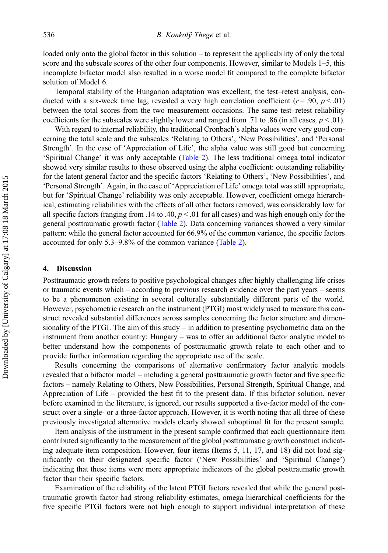loaded only onto the global factor in this solution – to represent the applicability of only the total score and the subscale scores of the other four components. However, similar to Models 1–5, this incomplete bifactor model also resulted in a worse model fit compared to the complete bifactor solution of Model 6.

Temporal stability of the Hungarian adaptation was excellent; the test–retest analysis, conducted with a six-week time lag, revealed a very high correlation coefficient ( $r = .90$ ,  $p < .01$ ) between the total scores from the two measurement occasions. The same test–retest reliability coefficients for the subscales were slightly lower and ranged from .71 to .86 (in all cases,  $p < .01$ ).

With regard to internal reliability, the traditional Cronbach's alpha values were very good concerning the total scale and the subscales 'Relating to Others', 'New Possibilities', and 'Personal Strength'. In the case of 'Appreciation of Life', the alpha value was still good but concerning 'Spiritual Change' it was only acceptable ([Table 2](#page-9-0)). The less traditional omega total indicator showed very similar results to those observed using the alpha coefficient: outstanding reliability for the latent general factor and the specific factors 'Relating to Others', 'New Possibilities', and 'Personal Strength'. Again, in the case of 'Appreciation of Life' omega total was still appropriate, but for 'Spiritual Change' reliability was only acceptable. However, coefficient omega hierarchical, estimating reliabilities with the effects of all other factors removed, was considerably low for all specific factors (ranging from .14 to .40,  $p < .01$  for all cases) and was high enough only for the general posttraumatic growth factor [\(Table 2](#page-9-0)). Data concerning variances showed a very similar pattern: while the general factor accounted for 66.9% of the common variance, the specific factors accounted for only 5.3–9.8% of the common variance [\(Table 2](#page-9-0)).

#### 4. Discussion

Posttraumatic growth refers to positive psychological changes after highly challenging life crises or traumatic events which – according to previous research evidence over the past years – seems to be a phenomenon existing in several culturally substantially different parts of the world. However, psychometric research on the instrument (PTGI) most widely used to measure this construct revealed substantial differences across samples concerning the factor structure and dimensionality of the PTGI. The aim of this study – in addition to presenting psychometric data on the instrument from another country: Hungary – was to offer an additional factor analytic model to better understand how the components of posttraumatic growth relate to each other and to provide further information regarding the appropriate use of the scale.

Results concerning the comparisons of alternative confirmatory factor analytic models revealed that a bifactor model – including a general posttraumatic growth factor and five specific factors – namely Relating to Others, New Possibilities, Personal Strength, Spiritual Change, and Appreciation of Life – provided the best fit to the present data. If this bifactor solution, never before examined in the literature, is ignored, our results supported a five-factor model of the construct over a single- or a three-factor approach. However, it is worth noting that all three of these previously investigated alternative models clearly showed suboptimal fit for the present sample.

Item analysis of the instrument in the present sample confirmed that each questionnaire item contributed significantly to the measurement of the global posttraumatic growth construct indicating adequate item composition. However, four items (Items 5, 11, 17, and 18) did not load significantly on their designated specific factor ('New Possibilities' and 'Spiritual Change') indicating that these items were more appropriate indicators of the global posttraumatic growth factor than their specific factors.

Examination of the reliability of the latent PTGI factors revealed that while the general posttraumatic growth factor had strong reliability estimates, omega hierarchical coefficients for the five specific PTGI factors were not high enough to support individual interpretation of these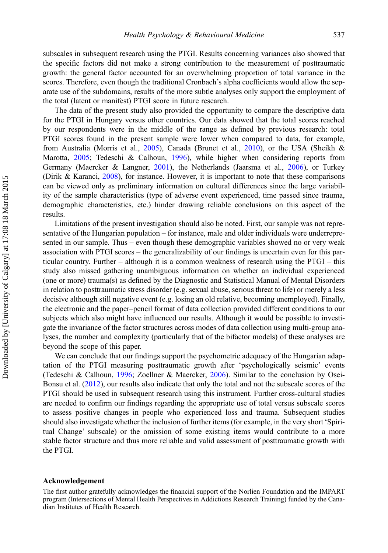subscales in subsequent research using the PTGI. Results concerning variances also showed that the specific factors did not make a strong contribution to the measurement of posttraumatic growth: the general factor accounted for an overwhelming proportion of total variance in the scores. Therefore, even though the traditional Cronbach's alpha coefficients would allow the separate use of the subdomains, results of the more subtle analyses only support the employment of the total (latent or manifest) PTGI score in future research.

The data of the present study also provided the opportunity to compare the descriptive data for the PTGI in Hungary versus other countries. Our data showed that the total scores reached by our respondents were in the middle of the range as defined by previous research: total PTGI scores found in the present sample were lower when compared to data, for example, from Australia (Morris et al., [2005\)](#page-13-0), Canada (Brunet et al., [2010\)](#page-12-0), or the USA (Sheikh & Marotta, [2005;](#page-13-0) Tedeschi & Calhoun, [1996\)](#page-14-0), while higher when considering reports from Germany (Maercker & Langner, [2001\)](#page-13-0), the Netherlands (Jaarsma et al., [2006](#page-12-0)), or Turkey (Dirik & Karanci, [2008](#page-12-0)), for instance. However, it is important to note that these comparisons can be viewed only as preliminary information on cultural differences since the large variability of the sample characteristics (type of adverse event experienced, time passed since trauma, demographic characteristics, etc.) hinder drawing reliable conclusions on this aspect of the results.

Limitations of the present investigation should also be noted. First, our sample was not representative of the Hungarian population – for instance, male and older individuals were underrepresented in our sample. Thus – even though these demographic variables showed no or very weak association with PTGI scores – the generalizability of our findings is uncertain even for this particular country. Further – although it is a common weakness of research using the PTGI – this study also missed gathering unambiguous information on whether an individual experienced (one or more) trauma(s) as defined by the Diagnostic and Statistical Manual of Mental Disorders in relation to posttraumatic stress disorder (e.g. sexual abuse, serious threat to life) or merely a less decisive although still negative event (e.g. losing an old relative, becoming unemployed). Finally, the electronic and the paper–pencil format of data collection provided different conditions to our subjects which also might have influenced our results. Although it would be possible to investigate the invariance of the factor structures across modes of data collection using multi-group analyses, the number and complexity (particularly that of the bifactor models) of these analyses are beyond the scope of this paper.

We can conclude that our findings support the psychometric adequacy of the Hungarian adaptation of the PTGI measuring posttraumatic growth after 'psychologically seismic' events (Tedeschi & Calhoun, [1996](#page-14-0); Zoellner & Maercker, [2006](#page-14-0)). Similar to the conclusion by Osei-Bonsu et al. ([2012\)](#page-13-0), our results also indicate that only the total and not the subscale scores of the PTGI should be used in subsequent research using this instrument. Further cross-cultural studies are needed to confirm our findings regarding the appropriate use of total versus subscale scores to assess positive changes in people who experienced loss and trauma. Subsequent studies should also investigate whether the inclusion of further items (for example, in the very short 'Spiritual Change' subscale) or the omission of some existing items would contribute to a more stable factor structure and thus more reliable and valid assessment of posttraumatic growth with the PTGI.

#### Acknowledgement

The first author gratefully acknowledges the financial support of the Norlien Foundation and the IMPART program (Intersections of Mental Health Perspectives in Addictions Research Training) funded by the Canadian Institutes of Health Research.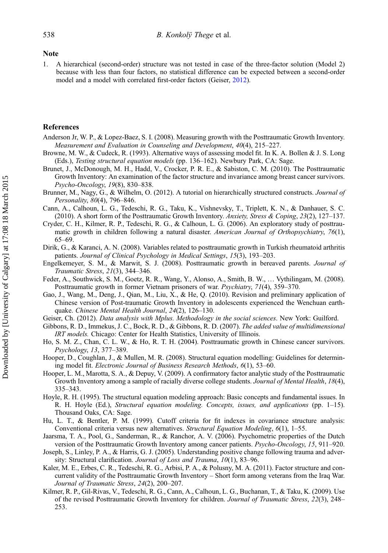<span id="page-12-0"></span>1. A hierarchical (second-order) structure was not tested in case of the three-factor solution (Model 2) because with less than four factors, no statistical difference can be expected between a second-order model and a model with correlated first-order factors (Geiser, 2012).

#### References

- Anderson Jr, W. P., & Lopez-Baez, S. I. (2008). Measuring growth with the Posttraumatic Growth Inventory. Measurement and Evaluation in Counseling and Development, 40(4), 215–227.
- Browne, M. W., & Cudeck, R. (1993). Alternative ways of assessing model fit. In K. A. Bollen & J. S. Long (Eds.), Testing structural equation models (pp. 136–162). Newbury Park, CA: Sage.
- Brunet, J., McDonough, M. H., Hadd, V., Crocker, P. R. E., & Sabiston, C. M. (2010). The Posttraumatic Growth Inventory: An examination of the factor structure and invariance among breast cancer survivors. Psycho-Oncology, 19(8), 830–838.
- Brunner, M., Nagy, G., & Wilhelm, O. (2012). A tutorial on hierarchically structured constructs. Journal of Personality, 80(4), 796–846.
- Cann, A., Calhoun, L. G., Tedeschi, R. G., Taku, K., Vishnevsky, T., Triplett, K. N., & Danhauer, S. C. (2010). A short form of the Posttraumatic Growth Inventory. Anxiety, Stress & Coping, 23(2), 127–137.
- Cryder, C. H., Kilmer, R. P., Tedeschi, R. G., & Calhoun, L. G. (2006). An exploratory study of posttraumatic growth in children following a natural disaster. American Journal of Orthopsychiatry, 76(1), 65–69.
- Dirik, G., & Karanci, A. N. (2008). Variables related to posttraumatic growth in Turkish rheumatoid arthritis patients. Journal of Clinical Psychology in Medical Settings, 15(3), 193–203.
- Engelkemeyer, S. M., & Marwit, S. J. (2008). Posttraumatic growth in bereaved parents. Journal of Traumatic Stress, 21(3), 344–346.
- Feder, A., Southwick, S. M., Goetz, R. R., Wang, Y., Alonso, A., Smith, B. W., … Vythilingam, M. (2008). Posttraumatic growth in former Vietnam prisoners of war. Psychiatry, 71(4), 359–370.
- Gao, J., Wang, M., Deng, J., Qian, M., Liu, X., & He, Q. (2010). Revision and preliminary application of Chinese version of Post-traumatic Growth Inventory in adolescents experienced the Wenchuan earthquake. Chinese Mental Health Journal, 24(2), 126–130.
- Geiser, Ch. (2012). *Data analysis with Mplus. Methodology in the social sciences*. New York: Guilford.
- Gibbons, R. D., Immekus, J. C., Bock, R. D., & Gibbons, R. D. (2007). The added value of multidimensional IRT models. Chicago: Center for Health Statistics, University of Illinois.
- Ho, S. M. Z., Chan, C. L. W., & Ho, R. T. H. (2004). Posttraumatic growth in Chinese cancer survivors. Psychology, 13, 377–389.
- Hooper, D., Coughlan, J., & Mullen, M. R. (2008). Structural equation modelling: Guidelines for determining model fit. Electronic Journal of Business Research Methods, 6(1), 53–60.
- Hooper, L. M., Marotta, S. A., & Depuy, V. (2009). A confirmatory factor analytic study of the Posttraumatic Growth Inventory among a sample of racially diverse college students. Journal of Mental Health, 18(4), 335–343.
- Hoyle, R. H. (1995). The structural equation modeling approach: Basic concepts and fundamental issues. In R. H. Hoyle (Ed.), Structural equation modeling. Concepts, issues, and applications (pp. 1–15). Thousand Oaks, CA: Sage.
- Hu, L. T., & Bentler, P. M. (1999). Cutoff criteria for fit indexes in covariance structure analysis: Conventional criteria versus new alternatives. Structural Equation Modeling, 6(1), 1–55.
- Jaarsma, T. A., Pool, G., Sanderman, R., & Ranchor, A. V. (2006). Psychometric properties of the Dutch version of the Posttraumatic Growth Inventory among cancer patients. Psycho-Oncology, 15, 911–920.
- Joseph, S., Linley, P. A., & Harris, G. J. (2005). Understanding positive change following trauma and adversity: Structural clarification. Journal of Loss and Trauma, 10(1), 83–96.
- Kaler, M. E., Erbes, C. R., Tedeschi, R. G., Arbisi, P. A., & Polusny, M. A. (2011). Factor structure and concurrent validity of the Posttraumatic Growth Inventory – Short form among veterans from the Iraq War. Journal of Traumatic Stress, 24(2), 200–207.
- Kilmer, R. P., Gil-Rivas, V., Tedeschi, R. G., Cann, A., Calhoun, L. G., Buchanan, T., & Taku, K. (2009). Use of the revised Posttraumatic Growth Inventory for children. Journal of Traumatic Stress, 22(3), 248– 253.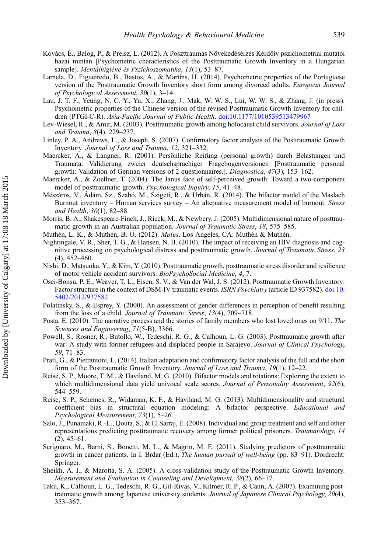- <span id="page-13-0"></span>Kovács, É., Balog, P., & Preisz, L. (2012). A Poszttraumás Növekedésérzés Kérdőív pszichometriai mutatói hazai mintán [Psychometric characteristics of the Posttraumatic Growth Inventory in a Hungarian sample]. Mentálhigiéné és Pszichoszomatika, 13(1), 53–87.
- Lamela, D., Figueiredo, B., Bastos, A., & Martins, H. (2014). Psychometric properties of the Portuguese version of the Posttraumatic Growth Inventory short form among divorced adults. European Journal of Psychological Assessment, 30(1), 3–14.
- Lau, J. T. F., Yeung, N. C. Y., Yu, X., Zhang, J., Mak, W. W. S., Lui, W. W. S., & Zhang, J. (in press). Psychometric properties of the Chinese version of the revised Posttraumatic Growth Inventory for children (PTGI-C-R). Asia-Pacific Journal of Public Health. [doi:10.1177/1010539513479967](http://dx.doi.org/10.1177/1010539513479967)
- Lev-Wiesel, R., & Amir, M. (2003). Posttraumatic growth among holocaust child survivors. Journal of Loss and Trauma, 8(4), 229–237.
- Linley, P. A., Andrews, L., & Joseph, S. (2007). Confirmatory factor analysis of the Posttraumatic Growth Inventory. Journal of Loss and Trauma, 12, 321–332.
- Maercker, A., & Langner, R. (2001). Persönliche Reifung (personal growth) durch Belastungen und Traumata: Validierung zweier deutschsprachiger Fragebogenversionen [Posttraumatic personal growth: Validation of German versions of 2 questionnaires.]. Diagnostica, 47(3), 153–162.
- Maercker, A., & Zoellner, T. (2004). The Janus face of self-perceived growth: Toward a two-component model of posttraumatic growth. Psychological Inquiry, 15, 41–48.
- Mészáros, V., Ádám, Sz., Szabó, M., Szigeti, R., & Urbán, R. (2014). The bifactor model of the Maslach Burnout inventory – Human services survey – An alternative measurement model of burnout. Stress and Health, 30(1), 82–88.
- Morris, B. A., Shakespeare-Finch, J., Rieck, M., & Newbery, J. (2005). Multidimensional nature of posttraumatic growth in an Australian population. Journal of Traumatic Stress, 18, 575–585.
- Muthén, L. K., & Muthén, B. O. (2012). Mplus. Los Angeles, CA: Muthén & Muthén.
- Nightingale, V. R., Sher, T. G., & Hansen, N. B. (2010). The impact of receiving an HIV diagnosis and cognitive processing on psychological distress and posttraumatic growth. Journal of Traumatic Stress, 23 (4), 452–460.
- Nishi, D., Matsuoka, Y., & Kim, Y. (2010). Posttraumatic growth, posttraumatic stress disorder and resilience of motor vehicle accident survivors. BioPsychoSocial Medicine, 4, 7.
- Osei-Bonsu, P. E., Weaver, T. L., Eisen, S. V., & Van der Wal, J. S. (2012). Posttraumatic Growth Inventory: Factor structure in the context of DSM-IV traumatic events. ISRN Psychiatry (article ID 937582). [doi:10.](http://dx.doi.org/10.5402/2012/937582) [5402/2012/937582](http://dx.doi.org/10.5402/2012/937582)
- Polatinsky, S., & Esprey, Y. (2000). An assessment of gender differences in perception of benefit resulting from the loss of a child. Journal of Traumatic Stress, 13(4), 709–718.
- Posta, E. (2010). The narrative process and the stories of family members who lost loved ones on 9/11. The Sciences and Engineering, 71(5-B), 3366.
- Powell, S., Rosner, R., Butollo, W., Tedeschi, R. G., & Calhoun, L. G. (2003). Posttraumatic growth after war: A study with former refugees and displaced people in Sarajevo. Journal of Clinical Psychology, 59, 71–83.
- Prati, G., & Pietrantoni, L. (2014). Italian adaptation and confirmatory factor analysis of the full and the short form of the Posttraumatic Growth Inventory. Journal of Loss and Trauma, 19(1), 12–22.
- Reise, S. P., Moore, T. M., & Haviland, M. G. (2010). Bifactor models and rotations: Exploring the extent to which multidimensional data yield univocal scale scores. Journal of Personality Assessment, 92(6), 544–559.
- Reise, S. P., Scheines, R., Widaman, K. F., & Haviland, M. G. (2013). Multidimensionality and structural coefficient bias in structural equation modeling: A bifactor perspective. Educational and Psychological Measurement, 73(1), 5–26.
- Salo, J., Punamaki, R.-L., Qouta, S., & El Sarraj, E. (2008). Individual and group treatment and self and other representations predicting posttraumatic recovery among former political prisoners. Traumatology, 14  $(2)$ , 45–61.
- Scrignaro, M., Barni, S., Bonetti, M. L., & Magrin, M. E. (2011). Studying predictors of posttraumatic growth in cancer patients. In I. Brdar (Ed.), The human pursuit of well-being (pp. 83–91). Dordrecht: Springer.
- Sheikh, A. I., & Marotta, S. A. (2005). A cross-validation study of the Posttraumatic Growth Inventory. Measurement and Evaluation in Counseling and Development, 38(2), 66–77.
- Taku, K., Calhoun, L. G., Tedeschi, R. G., Gil-Rivas, V., Kilmer, R. P., & Cann, A. (2007). Examining posttraumatic growth among Japanese university students. Journal of Japanese Clinical Psychology, 20(4), 353–367.